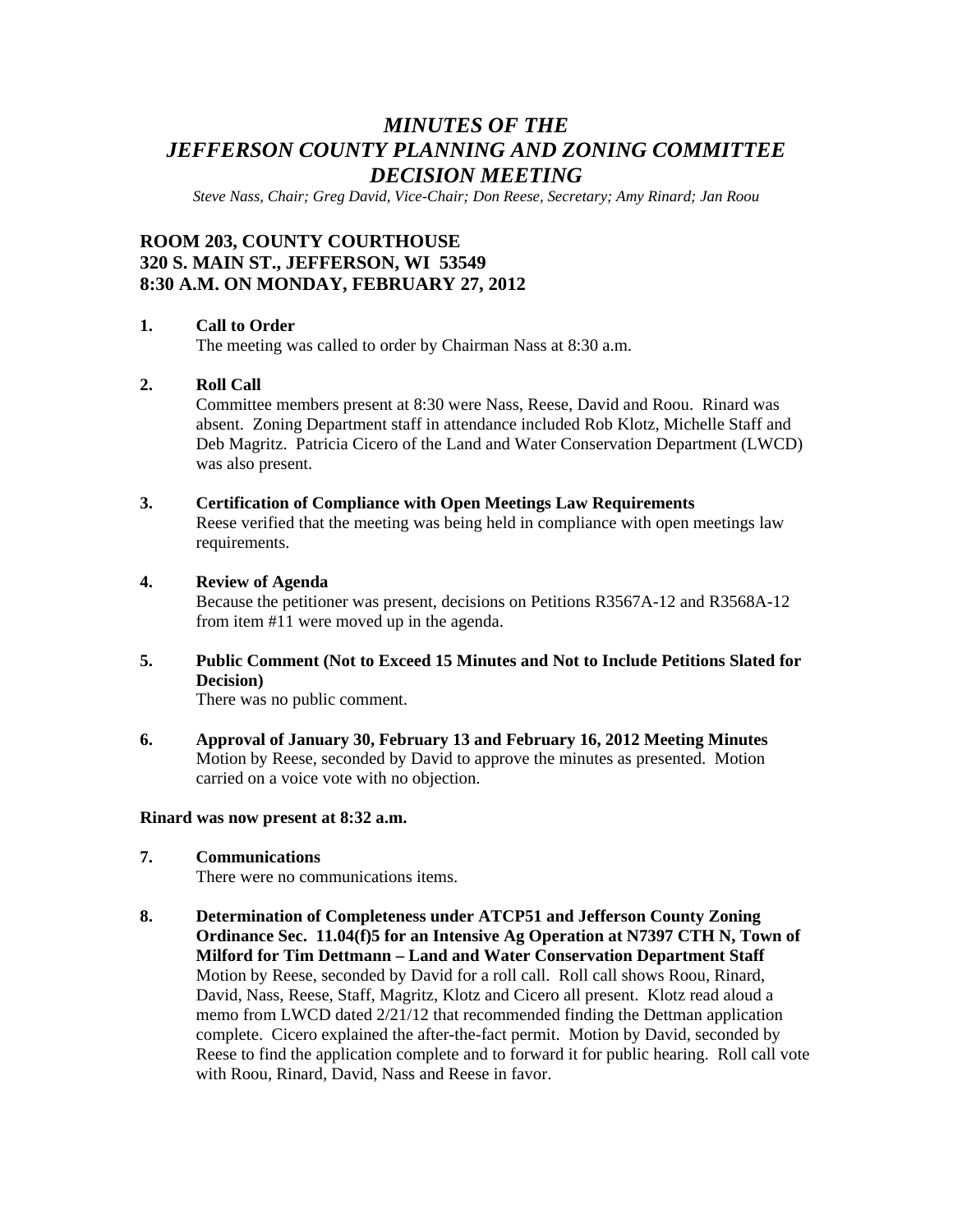# *MINUTES OF THE JEFFERSON COUNTY PLANNING AND ZONING COMMITTEE DECISION MEETING*

*Steve Nass, Chair; Greg David, Vice-Chair; Don Reese, Secretary; Amy Rinard; Jan Roou* 

# **ROOM 203, COUNTY COURTHOUSE 320 S. MAIN ST., JEFFERSON, WI 53549 8:30 A.M. ON MONDAY, FEBRUARY 27, 2012**

#### **1. Call to Order**

The meeting was called to order by Chairman Nass at 8:30 a.m.

### **2. Roll Call**

Committee members present at 8:30 were Nass, Reese, David and Roou. Rinard was absent. Zoning Department staff in attendance included Rob Klotz, Michelle Staff and Deb Magritz. Patricia Cicero of the Land and Water Conservation Department (LWCD) was also present.

#### **3. Certification of Compliance with Open Meetings Law Requirements**

Reese verified that the meeting was being held in compliance with open meetings law requirements.

### **4. Review of Agenda**

Because the petitioner was present, decisions on Petitions R3567A-12 and R3568A-12 from item #11 were moved up in the agenda.

### **5. Public Comment (Not to Exceed 15 Minutes and Not to Include Petitions Slated for Decision)**

There was no public comment.

**6. Approval of January 30, February 13 and February 16, 2012 Meeting Minutes**  Motion by Reese, seconded by David to approve the minutes as presented. Motion carried on a voice vote with no objection.

#### **Rinard was now present at 8:32 a.m.**

**7. Communications** 

There were no communications items.

**8. Determination of Completeness under ATCP51 and Jefferson County Zoning Ordinance Sec. 11.04(f)5 for an Intensive Ag Operation at N7397 CTH N, Town of Milford for Tim Dettmann – Land and Water Conservation Department Staff**  Motion by Reese, seconded by David for a roll call. Roll call shows Roou, Rinard, David, Nass, Reese, Staff, Magritz, Klotz and Cicero all present. Klotz read aloud a memo from LWCD dated 2/21/12 that recommended finding the Dettman application complete. Cicero explained the after-the-fact permit. Motion by David, seconded by Reese to find the application complete and to forward it for public hearing. Roll call vote with Roou, Rinard, David, Nass and Reese in favor.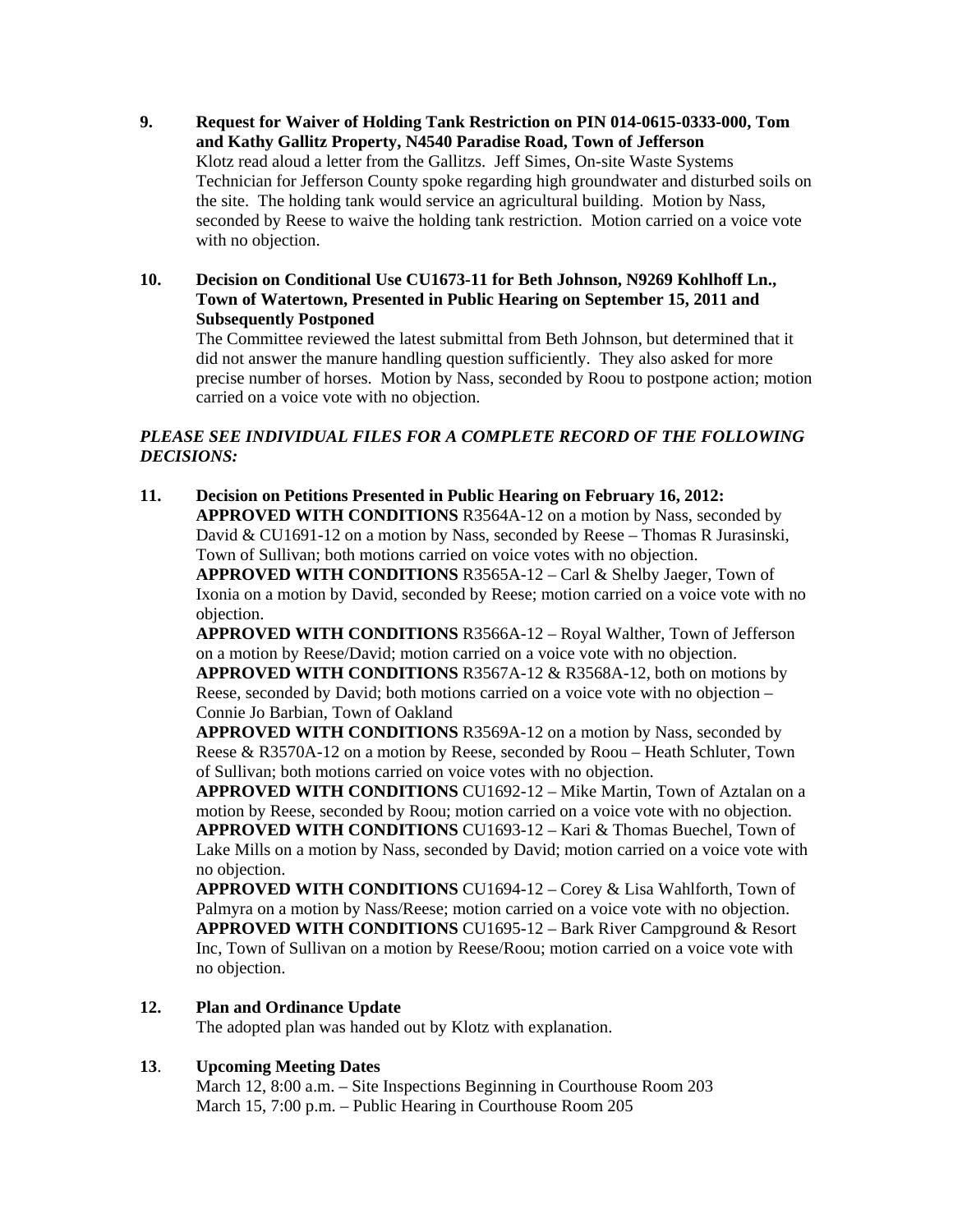- **9. Request for Waiver of Holding Tank Restriction on PIN 014-0615-0333-000, Tom and Kathy Gallitz Property, N4540 Paradise Road, Town of Jefferson**  Klotz read aloud a letter from the Gallitzs. Jeff Simes, On-site Waste Systems Technician for Jefferson County spoke regarding high groundwater and disturbed soils on the site. The holding tank would service an agricultural building. Motion by Nass, seconded by Reese to waive the holding tank restriction. Motion carried on a voice vote with no objection.
- **10. Decision on Conditional Use CU1673-11 for Beth Johnson, N9269 Kohlhoff Ln., Town of Watertown, Presented in Public Hearing on September 15, 2011 and Subsequently Postponed**

The Committee reviewed the latest submittal from Beth Johnson, but determined that it did not answer the manure handling question sufficiently. They also asked for more precise number of horses. Motion by Nass, seconded by Roou to postpone action; motion carried on a voice vote with no objection.

# *PLEASE SEE INDIVIDUAL FILES FOR A COMPLETE RECORD OF THE FOLLOWING DECISIONS:*

**11. Decision on Petitions Presented in Public Hearing on February 16, 2012: APPROVED WITH CONDITIONS** R3564A-12 on a motion by Nass, seconded by David & CU1691-12 on a motion by Nass, seconded by Reese – Thomas R Jurasinski, Town of Sullivan; both motions carried on voice votes with no objection. **APPROVED WITH CONDITIONS** R3565A-12 – Carl & Shelby Jaeger, Town of

Ixonia on a motion by David, seconded by Reese; motion carried on a voice vote with no objection.

**APPROVED WITH CONDITIONS** R3566A-12 – Royal Walther, Town of Jefferson on a motion by Reese/David; motion carried on a voice vote with no objection. **APPROVED WITH CONDITIONS** R3567A-12 & R3568A-12, both on motions by Reese, seconded by David; both motions carried on a voice vote with no objection –

Connie Jo Barbian, Town of Oakland **APPROVED WITH CONDITIONS** R3569A-12 on a motion by Nass, seconded by Reese & R3570A-12 on a motion by Reese, seconded by Roou – Heath Schluter, Town

of Sullivan; both motions carried on voice votes with no objection. **APPROVED WITH CONDITIONS** CU1692-12 – Mike Martin, Town of Aztalan on a motion by Reese, seconded by Roou; motion carried on a voice vote with no objection. **APPROVED WITH CONDITIONS** CU1693-12 – Kari & Thomas Buechel, Town of Lake Mills on a motion by Nass, seconded by David; motion carried on a voice vote with no objection.

**APPROVED WITH CONDITIONS** CU1694-12 – Corey & Lisa Wahlforth, Town of Palmyra on a motion by Nass/Reese; motion carried on a voice vote with no objection. **APPROVED WITH CONDITIONS** CU1695-12 – Bark River Campground & Resort Inc, Town of Sullivan on a motion by Reese/Roou; motion carried on a voice vote with no objection.

# **12. Plan and Ordinance Update**

The adopted plan was handed out by Klotz with explanation.

# **13**. **Upcoming Meeting Dates**

March 12, 8:00 a.m. – Site Inspections Beginning in Courthouse Room 203 March 15, 7:00 p.m. – Public Hearing in Courthouse Room 205